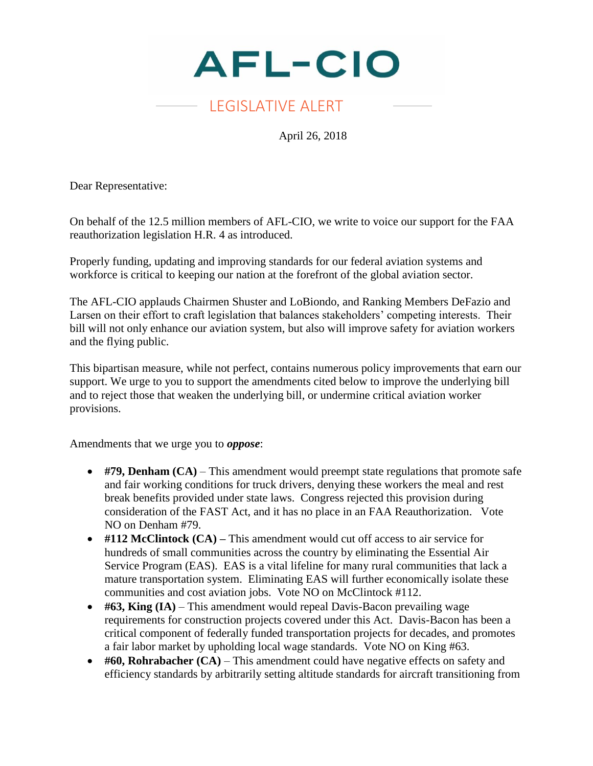

## LEGISLATIVE ALERT

April 26, 2018

Dear Representative:

On behalf of the 12.5 million members of AFL-CIO, we write to voice our support for the FAA reauthorization legislation H.R. 4 as introduced.

Properly funding, updating and improving standards for our federal aviation systems and workforce is critical to keeping our nation at the forefront of the global aviation sector.

The AFL-CIO applauds Chairmen Shuster and LoBiondo, and Ranking Members DeFazio and Larsen on their effort to craft legislation that balances stakeholders' competing interests. Their bill will not only enhance our aviation system, but also will improve safety for aviation workers and the flying public.

This bipartisan measure, while not perfect, contains numerous policy improvements that earn our support. We urge to you to support the amendments cited below to improve the underlying bill and to reject those that weaken the underlying bill, or undermine critical aviation worker provisions.

Amendments that we urge you to *oppose*:

- #79, Denham (CA) This amendment would preempt state regulations that promote safe and fair working conditions for truck drivers, denying these workers the meal and rest break benefits provided under state laws. Congress rejected this provision during consideration of the FAST Act, and it has no place in an FAA Reauthorization. Vote NO on Denham #79.
- **#112 McClintock (CA) –** This amendment would cut off access to air service for hundreds of small communities across the country by eliminating the Essential Air Service Program (EAS). EAS is a vital lifeline for many rural communities that lack a mature transportation system. Eliminating EAS will further economically isolate these communities and cost aviation jobs. Vote NO on McClintock #112.
- #63, King (IA) This amendment would repeal Davis-Bacon prevailing wage requirements for construction projects covered under this Act. Davis-Bacon has been a critical component of federally funded transportation projects for decades, and promotes a fair labor market by upholding local wage standards. Vote NO on King #63.
- #60, Rohrabacher (CA) This amendment could have negative effects on safety and efficiency standards by arbitrarily setting altitude standards for aircraft transitioning from